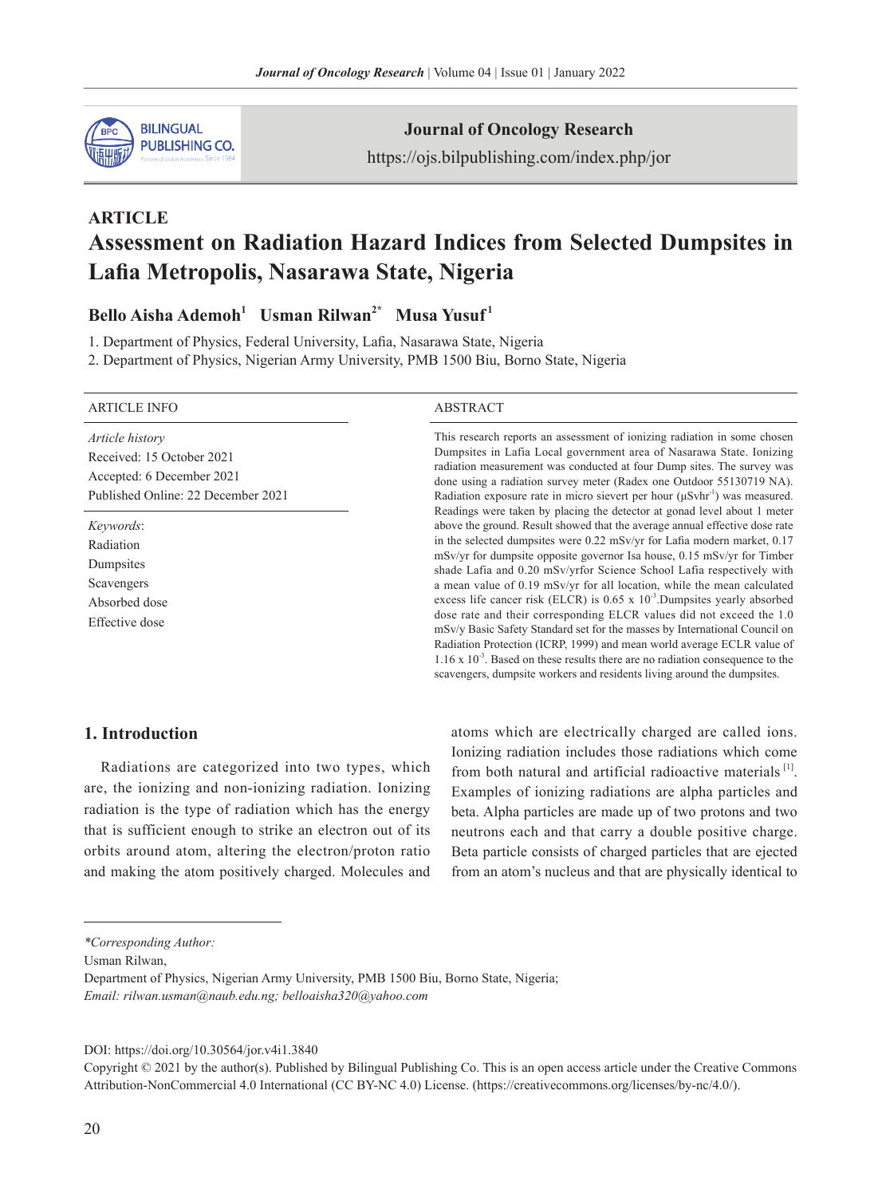

**Journal of Oncology Research**

https://ojs.bilpublishing.com/index.php/jor

# **ARTICLE Assessment on Radiation Hazard Indices from Selected Dumpsites in Lafia Metropolis, Nasarawa State, Nigeria**

# **Bello Aisha Ademoh<sup>1</sup> Usman Rilwan2\* Musa Yusuf <sup>1</sup>**

1. Department of Physics, Federal University, Lafia, Nasarawa State, Nigeria

2. Department of Physics, Nigerian Army University, PMB 1500 Biu, Borno State, Nigeria

| <b>ARTICLE INFO</b>                                                                                             | <b>ABSTRACT</b>                                                                                                                                                                                                                                                                                                                                                                                                                                                                                                                                                                                                                                                                                                                                                                                                                                                                      |
|-----------------------------------------------------------------------------------------------------------------|--------------------------------------------------------------------------------------------------------------------------------------------------------------------------------------------------------------------------------------------------------------------------------------------------------------------------------------------------------------------------------------------------------------------------------------------------------------------------------------------------------------------------------------------------------------------------------------------------------------------------------------------------------------------------------------------------------------------------------------------------------------------------------------------------------------------------------------------------------------------------------------|
| Article history<br>Received: 15 October 2021<br>Accepted: 6 December 2021<br>Published Online: 22 December 2021 | This research reports an assessment of ionizing radiation in some chosen<br>Dumpsites in Lafia Local government area of Nasarawa State. Ionizing<br>radiation measurement was conducted at four Dump sites. The survey was<br>done using a radiation survey meter (Radex one Outdoor 55130719 NA).<br>Radiation exposure rate in micro sievert per hour $(\mu Svhr^{-1})$ was measured.<br>Readings were taken by placing the detector at gonad level about 1 meter                                                                                                                                                                                                                                                                                                                                                                                                                  |
| Keywords:<br>Radiation<br>Dumpsites<br>Scavengers<br>Absorbed dose<br>Effective dose                            | above the ground. Result showed that the average annual effective dose rate<br>in the selected dumpsites were 0.22 mSv/yr for Lafia modern market, 0.17<br>mSv/yr for dumpsite opposite governor Isa house, 0.15 mSv/yr for Timber<br>shade Lafia and 0.20 mSv/yrfor Science School Lafia respectively with<br>a mean value of 0.19 mSv/yr for all location, while the mean calculated<br>excess life cancer risk (ELCR) is $0.65 \times 10^{-3}$ . Dumpsites yearly absorbed<br>dose rate and their corresponding ELCR values did not exceed the 1.0<br>mSv/y Basic Safety Standard set for the masses by International Council on<br>Radiation Protection (ICRP, 1999) and mean world average ECLR value of<br>$1.16 \times 10^{-3}$ . Based on these results there are no radiation consequence to the<br>scavengers, dumpsite workers and residents living around the dumpsites. |

# **1. Introduction**

Radiations are categorized into two types, which are, the ionizing and non-ionizing radiation. Ionizing radiation is the type of radiation which has the energy that is sufficient enough to strike an electron out of its orbits around atom, altering the electron/proton ratio and making the atom positively charged. Molecules and atoms which are electrically charged are called ions. Ionizing radiation includes those radiations which come from both natural and artificial radioactive materials  $[1]$ . Examples of ionizing radiations are alpha particles and beta. Alpha particles are made up of two protons and two neutrons each and that carry a double positive charge. Beta particle consists of charged particles that are ejected from an atom's nucleus and that are physically identical to

*\*Corresponding Author:*

Usman Rilwan,

Department of Physics, Nigerian Army University, PMB 1500 Biu, Borno State, Nigeria; *Email: rilwan.usman@naub.edu.ng; belloaisha320@yahoo.com*

DOI: https://doi.org/10.30564/jor.v4i1.3840

Copyright © 2021 by the author(s). Published by Bilingual Publishing Co. This is an open access article under the Creative Commons Attribution-NonCommercial 4.0 International (CC BY-NC 4.0) License. (https://creativecommons.org/licenses/by-nc/4.0/).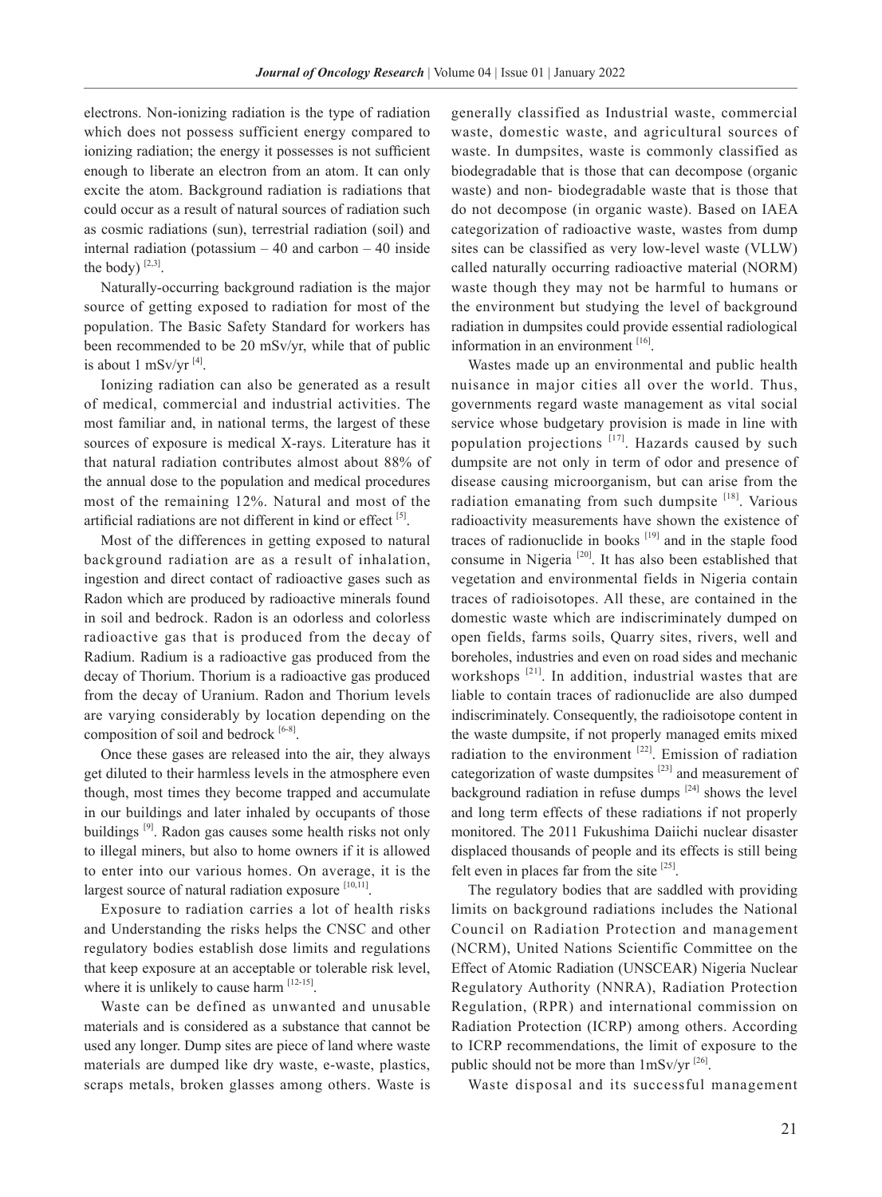electrons. Non-ionizing radiation is the type of radiation which does not possess sufficient energy compared to ionizing radiation; the energy it possesses is not sufficient enough to liberate an electron from an atom. It can only excite the atom. Background radiation is radiations that could occur as a result of natural sources of radiation such as cosmic radiations (sun), terrestrial radiation (soil) and internal radiation (potassium – 40 and carbon – 40 inside the body)  $[2,3]$ .

Naturally-occurring background radiation is the major source of getting exposed to radiation for most of the population. The Basic Safety Standard for workers has been recommended to be 20 mSv/yr, while that of public is about 1 mSv/yr  $^{[4]}$ .

Ionizing radiation can also be generated as a result of medical, commercial and industrial activities. The most familiar and, in national terms, the largest of these sources of exposure is medical X-rays. Literature has it that natural radiation contributes almost about 88% of the annual dose to the population and medical procedures most of the remaining 12%. Natural and most of the artificial radiations are not different in kind or effect [5].

Most of the differences in getting exposed to natural background radiation are as a result of inhalation, ingestion and direct contact of radioactive gases such as Radon which are produced by radioactive minerals found in soil and bedrock. Radon is an odorless and colorless radioactive gas that is produced from the decay of Radium. Radium is a radioactive gas produced from the decay of Thorium. Thorium is a radioactive gas produced from the decay of Uranium. Radon and Thorium levels are varying considerably by location depending on the composition of soil and bedrock  $[6-8]$ .

Once these gases are released into the air, they always get diluted to their harmless levels in the atmosphere even though, most times they become trapped and accumulate in our buildings and later inhaled by occupants of those buildings [9]. Radon gas causes some health risks not only to illegal miners, but also to home owners if it is allowed to enter into our various homes. On average, it is the largest source of natural radiation exposure [10,11].

Exposure to radiation carries a lot of health risks and Understanding the risks helps the CNSC and other regulatory bodies establish dose limits and regulations that keep exposure at an acceptable or tolerable risk level, where it is unlikely to cause harm  $[12-15]$ .

Waste can be defined as unwanted and unusable materials and is considered as a substance that cannot be used any longer. Dump sites are piece of land where waste materials are dumped like dry waste, e-waste, plastics, scraps metals, broken glasses among others. Waste is

generally classified as Industrial waste, commercial waste, domestic waste, and agricultural sources of waste. In dumpsites, waste is commonly classified as biodegradable that is those that can decompose (organic waste) and non- biodegradable waste that is those that do not decompose (in organic waste). Based on IAEA categorization of radioactive waste, wastes from dump sites can be classified as very low-level waste (VLLW) called naturally occurring radioactive material (NORM) waste though they may not be harmful to humans or the environment but studying the level of background radiation in dumpsites could provide essential radiological information in an environment [16].

Wastes made up an environmental and public health nuisance in major cities all over the world. Thus, governments regard waste management as vital social service whose budgetary provision is made in line with population projections [17]. Hazards caused by such dumpsite are not only in term of odor and presence of disease causing microorganism, but can arise from the radiation emanating from such dumpsite [18]. Various radioactivity measurements have shown the existence of traces of radionuclide in books [19] and in the staple food consume in Nigeria [20]. It has also been established that vegetation and environmental fields in Nigeria contain traces of radioisotopes. All these, are contained in the domestic waste which are indiscriminately dumped on open fields, farms soils, Quarry sites, rivers, well and boreholes, industries and even on road sides and mechanic workshops<sup>[21]</sup>. In addition, industrial wastes that are liable to contain traces of radionuclide are also dumped indiscriminately. Consequently, the radioisotope content in the waste dumpsite, if not properly managed emits mixed radiation to the environment [22]. Emission of radiation categorization of waste dumpsites [23] and measurement of background radiation in refuse dumps  $[24]$  shows the level and long term effects of these radiations if not properly monitored. The 2011 Fukushima Daiichi nuclear disaster displaced thousands of people and its effects is still being felt even in places far from the site [25].

The regulatory bodies that are saddled with providing limits on background radiations includes the National Council on Radiation Protection and management (NCRM), United Nations Scientific Committee on the Effect of Atomic Radiation (UNSCEAR) Nigeria Nuclear Regulatory Authority (NNRA), Radiation Protection Regulation, (RPR) and international commission on Radiation Protection (ICRP) among others. According to ICRP recommendations, the limit of exposure to the public should not be more than  $1 \text{mSv/yr}$ <sup>[26]</sup>.

Waste disposal and its successful management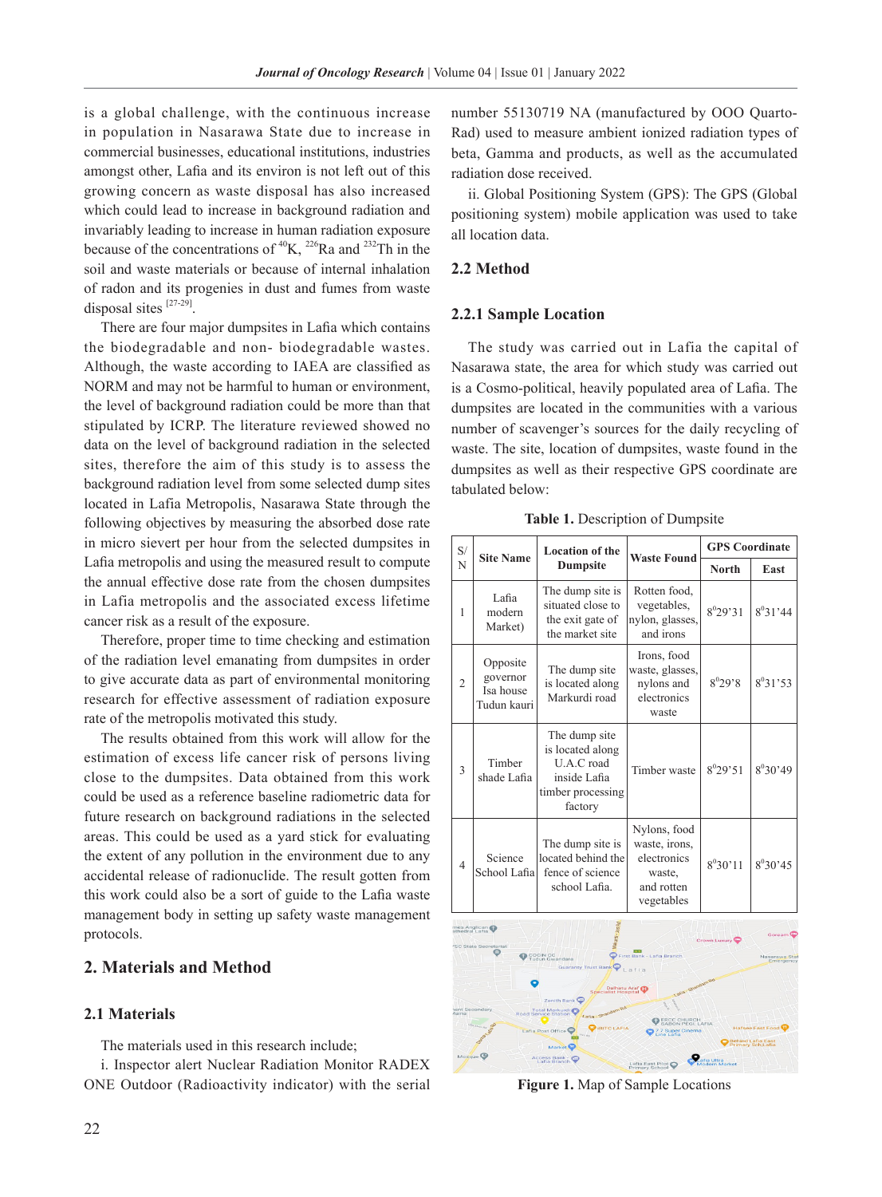is a global challenge, with the continuous increase in population in Nasarawa State due to increase in commercial businesses, educational institutions, industries amongst other, Lafia and its environ is not left out of this growing concern as waste disposal has also increased which could lead to increase in background radiation and invariably leading to increase in human radiation exposure because of the concentrations of  ${}^{40}K$ ,  ${}^{226}Ra$  and  ${}^{232}Th$  in the soil and waste materials or because of internal inhalation of radon and its progenies in dust and fumes from waste disposal sites [27-29].

There are four major dumpsites in Lafia which contains the biodegradable and non- biodegradable wastes. Although, the waste according to IAEA are classified as NORM and may not be harmful to human or environment, the level of background radiation could be more than that stipulated by ICRP. The literature reviewed showed no data on the level of background radiation in the selected sites, therefore the aim of this study is to assess the background radiation level from some selected dump sites located in Lafia Metropolis, Nasarawa State through the following objectives by measuring the absorbed dose rate in micro sievert per hour from the selected dumpsites in Lafia metropolis and using the measured result to compute the annual effective dose rate from the chosen dumpsites in Lafia metropolis and the associated excess lifetime cancer risk as a result of the exposure.

Therefore, proper time to time checking and estimation of the radiation level emanating from dumpsites in order to give accurate data as part of environmental monitoring research for effective assessment of radiation exposure rate of the metropolis motivated this study.

The results obtained from this work will allow for the estimation of excess life cancer risk of persons living close to the dumpsites. Data obtained from this work could be used as a reference baseline radiometric data for future research on background radiations in the selected areas. This could be used as a yard stick for evaluating the extent of any pollution in the environment due to any accidental release of radionuclide. The result gotten from this work could also be a sort of guide to the Lafia waste management body in setting up safety waste management protocols.

# **2. Materials and Method**

#### **2.1 Materials**

The materials used in this research include;

i. Inspector alert Nuclear Radiation Monitor RADEX ONE Outdoor (Radioactivity indicator) with the serial

number 55130719 NA (manufactured by OOO Quarto-Rad) used to measure ambient ionized radiation types of beta, Gamma and products, as well as the accumulated radiation dose received.

ii. Global Positioning System (GPS): The GPS (Global positioning system) mobile application was used to take all location data.

### **2.2 Method**

#### **2.2.1 Sample Location**

The study was carried out in Lafia the capital of Nasarawa state, the area for which study was carried out is a Cosmo-political, heavily populated area of Lafia. The dumpsites are located in the communities with a various number of scavenger's sources for the daily recycling of waste. The site, location of dumpsites, waste found in the dumpsites as well as their respective GPS coordinate are tabulated below:

| S/             | <b>Site Name</b>                                 | <b>Location of the</b>                                                                          | <b>Waste Found</b>                                                                 | <b>GPS</b> Coordinate |              |
|----------------|--------------------------------------------------|-------------------------------------------------------------------------------------------------|------------------------------------------------------------------------------------|-----------------------|--------------|
| N              |                                                  | <b>Dumpsite</b>                                                                                 |                                                                                    | <b>North</b>          | East         |
| 1              | Lafia<br>modern<br>Market)                       | The dump site is<br>situated close to<br>the exit gate of<br>the market site                    | Rotten food,<br>vegetables,<br>nylon, glasses,<br>and irons                        | $8^0$ 29'31           | $8^031'44$   |
| $\overline{2}$ | Opposite<br>governor<br>Isa house<br>Tudun kauri | The dump site<br>is located along<br>Markurdi road                                              | Irons, food<br>waste, glasses,<br>nylons and<br>electronics<br>waste               | $8^0 29.8$            | $8^{0}31'53$ |
| 3              | Timber<br>shade Lafia                            | The dump site<br>is located along<br>U.A.C road<br>inside Lafia<br>timber processing<br>factory | Timber waste                                                                       | $8^0$ 29'51           | $8^030'49$   |
| $\overline{4}$ | Science<br>School Lafia                          | The dump site is<br>located behind the<br>fence of science<br>school Lafia.                     | Nylons, food<br>waste, irons,<br>electronics<br>waste,<br>and rotten<br>vegetables | $8^0$ 30'11           | $8^030'45$   |

**Table 1.** Description of Dumpsite



**Figure 1.** Map of Sample Locations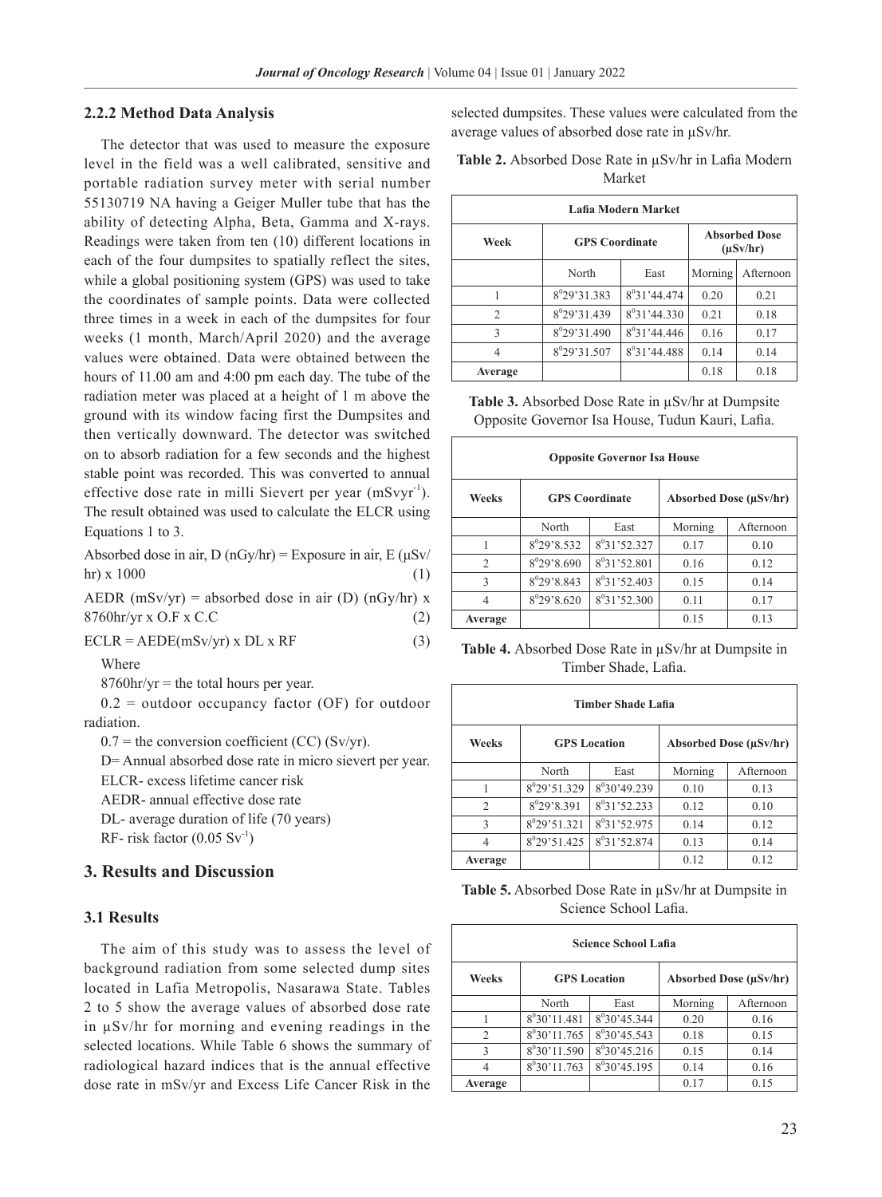#### **2.2.2 Method Data Analysis**

The detector that was used to measure the exposure level in the field was a well calibrated, sensitive and portable radiation survey meter with serial number 55130719 NA having a Geiger Muller tube that has the ability of detecting Alpha, Beta, Gamma and X-rays. Readings were taken from ten (10) different locations in each of the four dumpsites to spatially reflect the sites, while a global positioning system (GPS) was used to take the coordinates of sample points. Data were collected three times in a week in each of the dumpsites for four weeks (1 month, March/April 2020) and the average values were obtained. Data were obtained between the hours of 11.00 am and 4:00 pm each day. The tube of the radiation meter was placed at a height of 1 m above the ground with its window facing first the Dumpsites and then vertically downward. The detector was switched on to absorb radiation for a few seconds and the highest stable point was recorded. This was converted to annual effective dose rate in milli Sievert per year  $(mSvyr^{-1})$ . The result obtained was used to calculate the ELCR using Equations 1 to 3.

Absorbed dose in air, D (nGy/hr) = Exposure in air, E ( $\mu$ Sv/ hr) x  $1000$  (1)

AEDR  $(mSv/yr)$  = absorbed dose in air (D)  $(nGy/hr)$  x  $8760$ hr/yr x O.F x C.C  $(2)$ 

 $ECLR = AEDE(mSv/yr)$  x  $DL$  x  $RF$  (3)

Where

 $8760$ hr/yr = the total hours per year.

 $0.2$  = outdoor occupancy factor (OF) for outdoor radiation.

 $0.7$  = the conversion coefficient (CC) (Sv/yr).

D= Annual absorbed dose rate in micro sievert per year.

ELCR- excess lifetime cancer risk

AEDR- annual effective dose rate DL- average duration of life (70 years)

RF- risk factor  $(0.05 \text{ Sv}^{-1})$ 

# **3. Results and Discussion**

#### **3.1 Results**

The aim of this study was to assess the level of background radiation from some selected dump sites located in Lafia Metropolis, Nasarawa State. Tables 2 to 5 show the average values of absorbed dose rate in µSv/hr for morning and evening readings in the selected locations. While Table 6 shows the summary of radiological hazard indices that is the annual effective dose rate in mSv/yr and Excess Life Cancer Risk in the

selected dumpsites. These values were calculated from the average values of absorbed dose rate in µSv/hr.

| <b>Table 2.</b> Absorbed Dose Rate in $\mu$ Sv/hr in Lafia Modern |  |
|-------------------------------------------------------------------|--|
| Market                                                            |  |

| Lafia Modern Market |                          |                          |                                       |           |  |  |
|---------------------|--------------------------|--------------------------|---------------------------------------|-----------|--|--|
| Week                | <b>GPS</b> Coordinate    |                          | <b>Absorbed Dose</b><br>$(\mu Sv/hr)$ |           |  |  |
|                     | North<br>East            |                          | Morning                               | Afternoon |  |  |
|                     | 8 <sup>0</sup> 29'31.383 | $8^031'44.474$           | 0.20                                  | 0.21      |  |  |
| $\mathfrak{D}$      | 8 <sup>0</sup> 29'31.439 | $8^031'44.330$           | 0.21                                  | 0.18      |  |  |
| 3                   | 8 <sup>0</sup> 29'31.490 | $8^0$ 31'44.446          | 0.16                                  | 0.17      |  |  |
| 4                   | 8 <sup>0</sup> 29'31.507 | 8 <sup>0</sup> 31'44.488 | 0.14                                  | 0.14      |  |  |
| Average             |                          |                          | 0.18                                  | 0.18      |  |  |

| <b>Table 3.</b> Absorbed Dose Rate in $\mu$ Sv/hr at Dumpsite |  |
|---------------------------------------------------------------|--|
| Opposite Governor Isa House, Tudun Kauri, Lafia.              |  |

| <b>Opposite Governor Isa House</b> |                       |                 |                        |           |  |  |
|------------------------------------|-----------------------|-----------------|------------------------|-----------|--|--|
| Weeks                              | <b>GPS</b> Coordinate |                 | Absorbed Dose (µSv/hr) |           |  |  |
|                                    | North                 | East            | Morning                | Afternoon |  |  |
|                                    | $8^{0}29'8.532$       | $8^0$ 31'52.327 | 0.17                   | 0.10      |  |  |
| $\mathfrak{D}$                     | $8^0$ 29'8.690        | $8^0$ 31'52.801 | 0.16                   | 0.12      |  |  |
| $\mathcal{R}$                      | 8°29'8.843            | $8^031'52.403$  | 0.15                   | 0.14      |  |  |
|                                    | $8^0$ 29'8.620        | $8^031'52.300$  | 0.11                   | 0.17      |  |  |
| Average                            |                       |                 | 0.15                   | 0.13      |  |  |

**Table 4.** Absorbed Dose Rate in µSv/hr at Dumpsite in Timber Shade, Lafia.

| <b>Timber Shade Lafia</b> |                          |                          |                               |           |  |
|---------------------------|--------------------------|--------------------------|-------------------------------|-----------|--|
| Weeks                     | <b>GPS</b> Location      |                          | <b>Absorbed Dose (uSv/hr)</b> |           |  |
|                           | North                    | East                     | Morning                       | Afternoon |  |
|                           | 8 <sup>0</sup> 29'51.329 | $8^030'49.239$           | 0.10                          | 0.13      |  |
| $\mathfrak{D}$            | $8^{0}29$ '8.391         | $8^0$ 31'52.233          | 0.12                          | 0.10      |  |
| 3                         | $8^0$ 29'51.321          | 8 <sup>0</sup> 31'52.975 | 0.14                          | 0.12      |  |
| 4                         | $8^{0}29'51.425$         | $8^0$ 31'52.874          | 0.13                          | 0.14      |  |
| Average                   |                          |                          | 0.12                          | 0.12      |  |

**Table 5.** Absorbed Dose Rate in µSv/hr at Dumpsite in Science School Lafia.

| <b>Science School Lafia</b> |                |                     |         |                               |  |  |
|-----------------------------|----------------|---------------------|---------|-------------------------------|--|--|
| Weeks                       |                | <b>GPS</b> Location |         | <b>Absorbed Dose (uSv/hr)</b> |  |  |
|                             | North          | East                | Morning | Afternoon                     |  |  |
|                             | $8^030'11.481$ | $8^030'45.344$      | 0.20    | 0.16                          |  |  |
| $\mathfrak{D}$              | $8^030'11.765$ | $8^0$ 30'45.543     | 0.18    | 0.15                          |  |  |
| $\mathcal{E}$               | $8^030'11.590$ | $8^{0}30'45.216$    | 0.15    | 0.14                          |  |  |
| 4                           | $8^030'11.763$ | $8^030'45.195$      | 0.14    | 0.16                          |  |  |
| Average                     |                |                     | 0.17    | 0.15                          |  |  |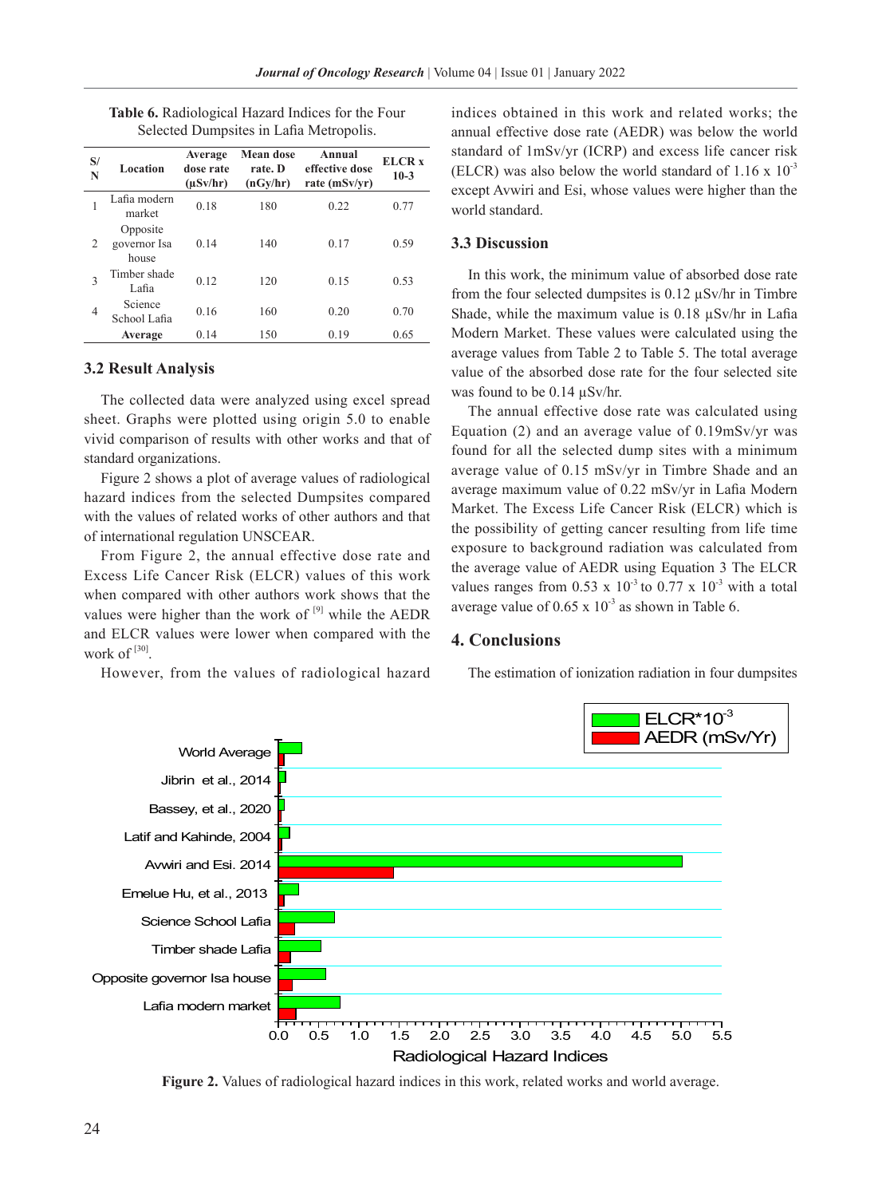| S/<br>N        | Location                          | Average<br>dose rate<br>$(\mu Sv/hr)$ | <b>Mean dose</b><br>rate. D<br>(nGy/hr) | Annual<br>effective dose<br>rate (mSv/yr) | ELCR <sub>x</sub><br>$10-3$ |
|----------------|-----------------------------------|---------------------------------------|-----------------------------------------|-------------------------------------------|-----------------------------|
| 1              | Lafia modern<br>market            | 0.18                                  | 180                                     | 0.22                                      | 0.77                        |
| $\overline{2}$ | Opposite<br>governor Isa<br>house | 0.14                                  | 140                                     | 0.17                                      | 0.59                        |
| 3              | Timber shade<br>Lafia             | 0.12                                  | 120                                     | 0.15                                      | 0.53                        |
| 4              | Science<br>School Lafia           | 0.16                                  | 160                                     | 0.20                                      | 0.70                        |
|                | Average                           | 0.14                                  | 150                                     | 0.19                                      | 0.65                        |

**Table 6.** Radiological Hazard Indices for the Four Selected Dumpsites in Lafia Metropolis.

### **3.2 Result Analysis**

The collected data were analyzed using excel spread sheet. Graphs were plotted using origin 5.0 to enable vivid comparison of results with other works and that of standard organizations.

Figure 2 shows a plot of average values of radiological hazard indices from the selected Dumpsites compared with the values of related works of other authors and that of international regulation UNSCEAR.

From Figure 2, the annual effective dose rate and Excess Life Cancer Risk (ELCR) values of this work when compared with other authors work shows that the values were higher than the work of  $[9]$  while the AEDR and ELCR values were lower when compared with the work of  $[30]$ .

However, from the values of radiological hazard

indices obtained in this work and related works; the annual effective dose rate (AEDR) was below the world standard of 1mSv/yr (ICRP) and excess life cancer risk (ELCR) was also below the world standard of  $1.16 \times 10^{-3}$ except Avwiri and Esi, whose values were higher than the world standard.

#### **3.3 Discussion**

In this work, the minimum value of absorbed dose rate from the four selected dumpsites is  $0.12 \mu Sv/hr$  in Timbre Shade, while the maximum value is  $0.18 \mu$ Sv/hr in Lafia Modern Market. These values were calculated using the average values from Table 2 to Table 5. The total average value of the absorbed dose rate for the four selected site was found to be 0.14 µSv/hr.

The annual effective dose rate was calculated using Equation (2) and an average value of 0.19mSv/yr was found for all the selected dump sites with a minimum average value of 0.15 mSv/yr in Timbre Shade and an average maximum value of 0.22 mSv/yr in Lafia Modern Market. The Excess Life Cancer Risk (ELCR) which is the possibility of getting cancer resulting from life time exposure to background radiation was calculated from the average value of AEDR using Equation 3 The ELCR values ranges from 0.53 x  $10^{-3}$  to 0.77 x  $10^{-3}$  with a total average value of  $0.65 \times 10^{-3}$  as shown in Table 6.

## **4. Conclusions**

The estimation of ionization radiation in four dumpsites



**Figure 2.** Values of radiological hazard indices in this work, related works and world average.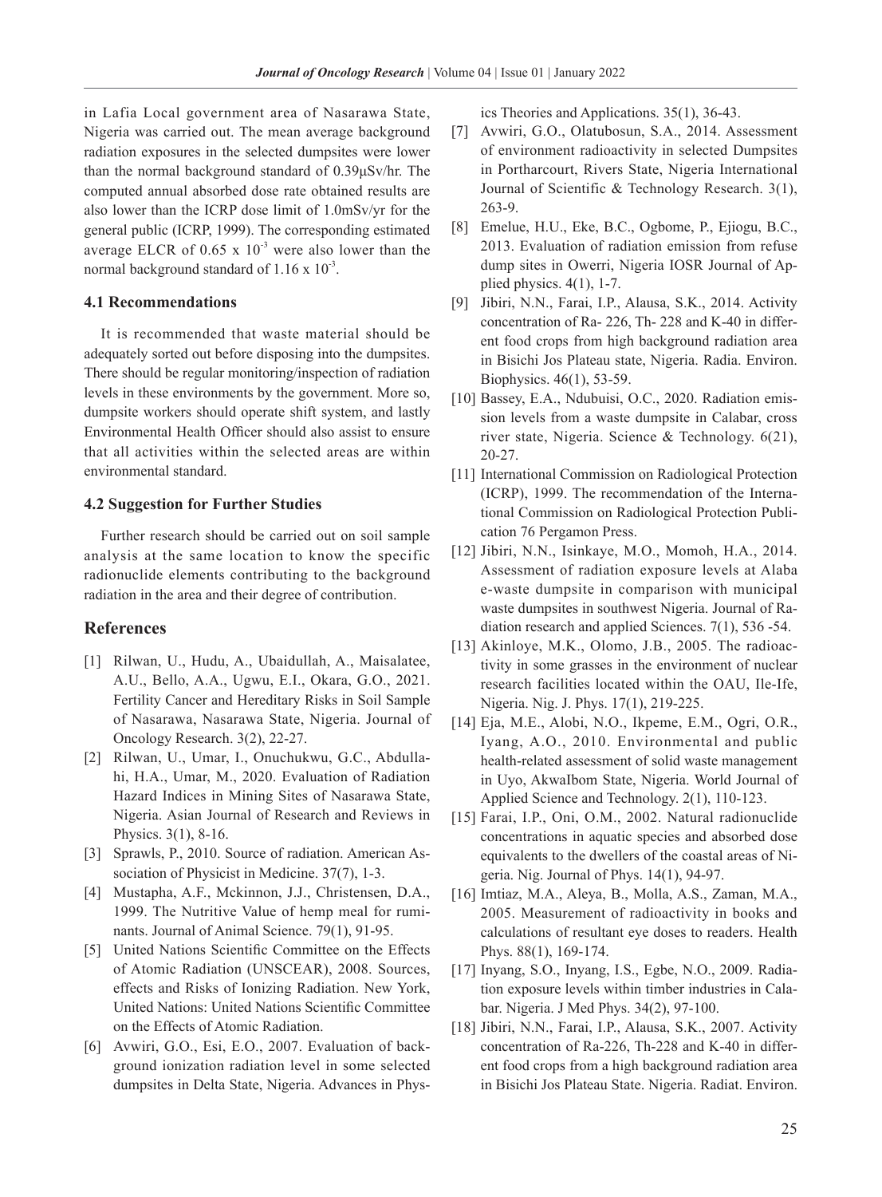in Lafia Local government area of Nasarawa State, Nigeria was carried out. The mean average background radiation exposures in the selected dumpsites were lower than the normal background standard of 0.39μSv/hr. The computed annual absorbed dose rate obtained results are also lower than the ICRP dose limit of 1.0mSv/yr for the general public (ICRP, 1999). The corresponding estimated average ELCR of  $0.65 \times 10^{-3}$  were also lower than the normal background standard of  $1.16 \times 10^{-3}$ .

### **4.1 Recommendations**

It is recommended that waste material should be adequately sorted out before disposing into the dumpsites. There should be regular monitoring/inspection of radiation levels in these environments by the government. More so, dumpsite workers should operate shift system, and lastly Environmental Health Officer should also assist to ensure that all activities within the selected areas are within environmental standard.

### **4.2 Suggestion for Further Studies**

Further research should be carried out on soil sample analysis at the same location to know the specific radionuclide elements contributing to the background radiation in the area and their degree of contribution.

### **References**

- [1] Rilwan, U., Hudu, A., Ubaidullah, A., Maisalatee, A.U., Bello, A.A., Ugwu, E.I., Okara, G.O., 2021. Fertility Cancer and Hereditary Risks in Soil Sample of Nasarawa, Nasarawa State, Nigeria. Journal of Oncology Research. 3(2), 22-27.
- [2] Rilwan, U., Umar, I., Onuchukwu, G.C., Abdullahi, H.A., Umar, M., 2020. Evaluation of Radiation Hazard Indices in Mining Sites of Nasarawa State, Nigeria. Asian Journal of Research and Reviews in Physics. 3(1), 8-16.
- [3] Sprawls, P., 2010. Source of radiation. American Association of Physicist in Medicine. 37(7), 1-3.
- [4] Mustapha, A.F., Mckinnon, J.J., Christensen, D.A., 1999. The Nutritive Value of hemp meal for ruminants. Journal of Animal Science. 79(1), 91-95.
- [5] United Nations Scientific Committee on the Effects of Atomic Radiation (UNSCEAR), 2008. Sources, effects and Risks of Ionizing Radiation. New York, United Nations: United Nations Scientific Committee on the Effects of Atomic Radiation.
- [6] Avwiri, G.O., Esi, E.O., 2007. Evaluation of background ionization radiation level in some selected dumpsites in Delta State, Nigeria. Advances in Phys-

ics Theories and Applications. 35(1), 36-43.

- [7] Avwiri, G.O., Olatubosun, S.A., 2014. Assessment of environment radioactivity in selected Dumpsites in Portharcourt, Rivers State, Nigeria International Journal of Scientific & Technology Research. 3(1), 263-9.
- [8] Emelue, H.U., Eke, B.C., Ogbome, P., Ejiogu, B.C., 2013. Evaluation of radiation emission from refuse dump sites in Owerri, Nigeria IOSR Journal of Applied physics.  $4(1)$ , 1-7.
- [9] Jibiri, N.N., Farai, I.P., Alausa, S.K., 2014. Activity concentration of Ra- 226, Th- 228 and K-40 in different food crops from high background radiation area in Bisichi Jos Plateau state, Nigeria. Radia. Environ. Biophysics. 46(1), 53-59.
- [10] Bassey, E.A., Ndubuisi, O.C., 2020. Radiation emission levels from a waste dumpsite in Calabar, cross river state, Nigeria. Science & Technology. 6(21), 20-27.
- [11] International Commission on Radiological Protection (ICRP), 1999. The recommendation of the International Commission on Radiological Protection Publication 76 Pergamon Press.
- [12] Jibiri, N.N., Isinkaye, M.O., Momoh, H.A., 2014. Assessment of radiation exposure levels at Alaba e-waste dumpsite in comparison with municipal waste dumpsites in southwest Nigeria. Journal of Radiation research and applied Sciences. 7(1), 536 -54.
- [13] Akinloye, M.K., Olomo, J.B., 2005. The radioactivity in some grasses in the environment of nuclear research facilities located within the OAU, Ile-Ife, Nigeria. Nig. J. Phys. 17(1), 219-225.
- [14] Eja, M.E., Alobi, N.O., Ikpeme, E.M., Ogri, O.R., Iyang, A.O., 2010. Environmental and public health-related assessment of solid waste management in Uyo, AkwaIbom State, Nigeria. World Journal of Applied Science and Technology. 2(1), 110-123.
- [15] Farai, I.P., Oni, O.M., 2002. Natural radionuclide concentrations in aquatic species and absorbed dose equivalents to the dwellers of the coastal areas of Nigeria. Nig. Journal of Phys. 14(1), 94-97.
- [16] Imtiaz, M.A., Aleya, B., Molla, A.S., Zaman, M.A., 2005. Measurement of radioactivity in books and calculations of resultant eye doses to readers. Health Phys. 88(1), 169-174.
- [17] Inyang, S.O., Inyang, I.S., Egbe, N.O., 2009. Radiation exposure levels within timber industries in Calabar. Nigeria. J Med Phys. 34(2), 97-100.
- [18] Jibiri, N.N., Farai, I.P., Alausa, S.K., 2007. Activity concentration of Ra-226, Th-228 and K-40 in different food crops from a high background radiation area in Bisichi Jos Plateau State. Nigeria. Radiat. Environ.